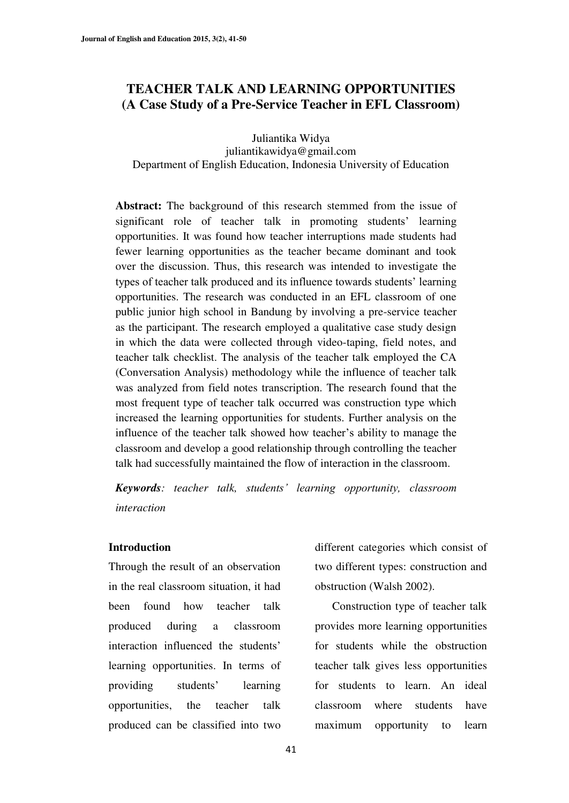# **TEACHER TALK AND LEARNING OPPORTUNITIES (A Case Study of a Pre-Service Teacher in EFL Classroom)**

Juliantika Widya juliantikawidya@gmail.com Department of English Education, Indonesia University of Education

Abstract: The background of this research stemmed from the issue of significant role of teacher talk in promoting students' learning opportunities. It was found how teacher interruptions made students had fewer learning opportunities as the teacher became dominant and took over the discussion. Thus, this research was intended to investigate the types of teacher talk produced and its influence towards students' learning opportunities. The research was conducted in an EFL classroom of one public junior high school in Bandung by involving a pre-service teacher as the participant. The research employed a qualitative case study design in which the data were collected through video-taping, field notes, and teacher talk checklist. The analysis of the teacher talk employed the CA (Conversation Analysis) methodology while the influence of teacher talk was analyzed from field notes transcription. The research found that the most frequent type of teacher talk occurred was construction type which increased the learning opportunities for students. Further analysis on the influence of the teacher talk showed how teacher's ability to manage the classroom and develop a good relationship through controlling the teacher talk had successfully maintained the flow of interaction in the classroom.

*Keywords*: teacher talk, students' learning opportunity, classroom *interaction* 

### **Introduction**

Through the result of an observation in the real classroom situation, it had been found how teacher talk produced during a classroom interaction influenced the students' learning opportunities. In terms of providing students' learning opportunities, the teacher talk produced can be classified into two

different categories which consist of two different types: construction and obstruction (Walsh 2002).

Construction type of teacher talk provides more learning opportunities for students while the obstruction teacher talk gives less opportunities for students to learn. An ideal classroom where students have maximum opportunity to learn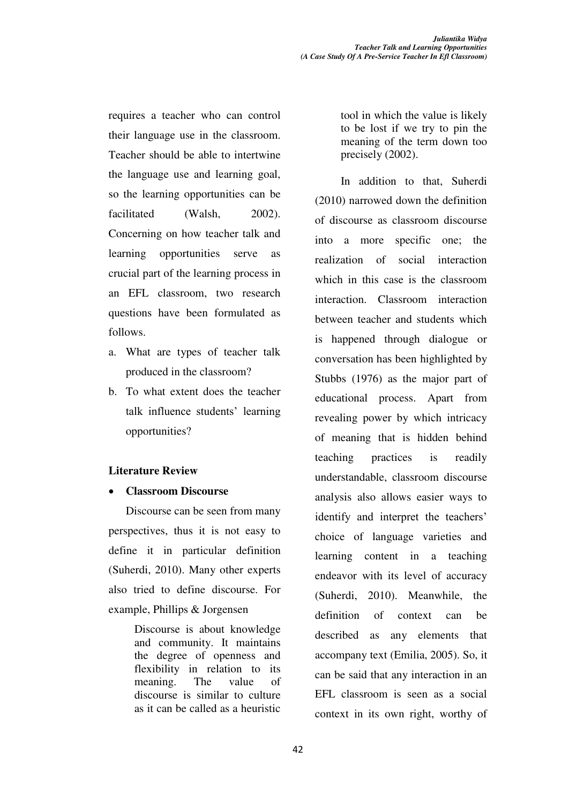requires a teacher who can control their language use in the classroom. Teacher should be able to intertwine the language use and learning goal, so the learning opportunities can be facilitated (Walsh, 2002). Concerning on how teacher talk and learning opportunities serve as crucial part of the learning process in an EFL classroom, two research questions have been formulated as follows.

- a. What are types of teacher talk produced in the classroom?
- b. To what extent does the teacher talk influence students' learning opportunities?

# **Literature Review**

x **Classroom Discourse** 

Discourse can be seen from many perspectives, thus it is not easy to define it in particular definition (Suherdi, 2010). Many other experts also tried to define discourse. For example, Phillips & Jorgensen

> Discourse is about knowledge and community. It maintains the degree of openness and flexibility in relation to its meaning. The value of discourse is similar to culture as it can be called as a heuristic

tool in which the value is likely to be lost if we try to pin the meaning of the term down too precisely (2002).

 In addition to that, Suherdi (2010) narrowed down the definition of discourse as classroom discourse into a more specific one; the realization of social interaction which in this case is the classroom interaction. Classroom interaction between teacher and students which is happened through dialogue or conversation has been highlighted by Stubbs (1976) as the major part of educational process. Apart from revealing power by which intricacy of meaning that is hidden behind teaching practices is readily understandable, classroom discourse analysis also allows easier ways to identify and interpret the teachers' choice of language varieties and learning content in a teaching endeavor with its level of accuracy (Suherdi, 2010). Meanwhile, the definition of context can be described as any elements that accompany text (Emilia, 2005). So, it can be said that any interaction in an EFL classroom is seen as a social context in its own right, worthy of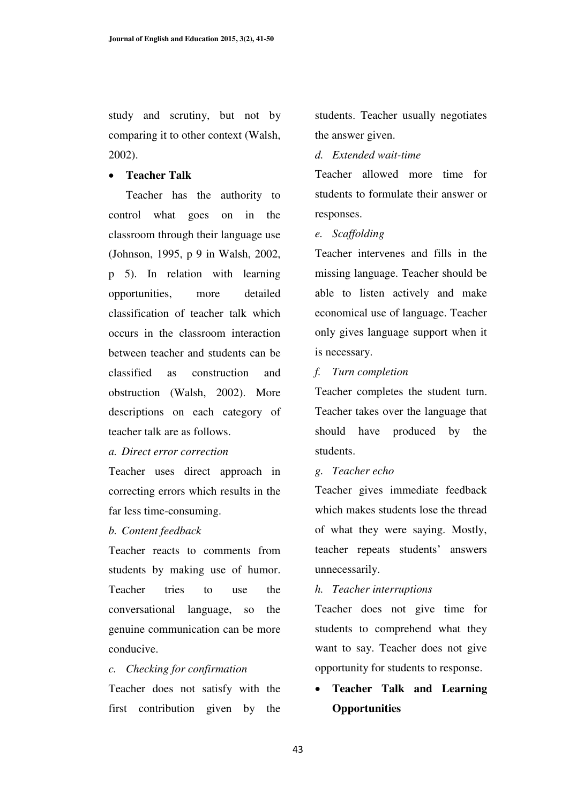study and scrutiny, but not by comparing it to other context (Walsh, 2002).

# **•** Teacher Talk

Teacher has the authority to control what goes on in the classroom through their language use (Johnson, 1995, p 9 in Walsh, 2002, p 5). In relation with learning opportunities, more detailed classification of teacher talk which occurs in the classroom interaction between teacher and students can be classified as construction and obstruction (Walsh, 2002). More descriptions on each category of teacher talk are as follows.

### *a. Direct error correction*

Teacher uses direct approach in correcting errors which results in the far less time-consuming.

### *b. Content feedback*

Teacher reacts to comments from students by making use of humor. Teacher tries to use the conversational language, so the genuine communication can be more conducive.

#### *c. Checking for confirmation*

Teacher does not satisfy with the first contribution given by the students. Teacher usually negotiates the answer given.

# *d. Extended wait-time*

Teacher allowed more time for students to formulate their answer or responses.

### *e. Scaffolding*

Teacher intervenes and fills in the missing language. Teacher should be able to listen actively and make economical use of language. Teacher only gives language support when it is necessary.

# *f. Turn completion*

Teacher completes the student turn. Teacher takes over the language that should have produced by the students.

### *g. Teacher echo*

Teacher gives immediate feedback which makes students lose the thread of what they were saying. Mostly, teacher repeats students' answers unnecessarily.

### *h. Teacher interruptions*

Teacher does not give time for students to comprehend what they want to say. Teacher does not give opportunity for students to response.

# x **Teacher Talk and Learning Opportunities**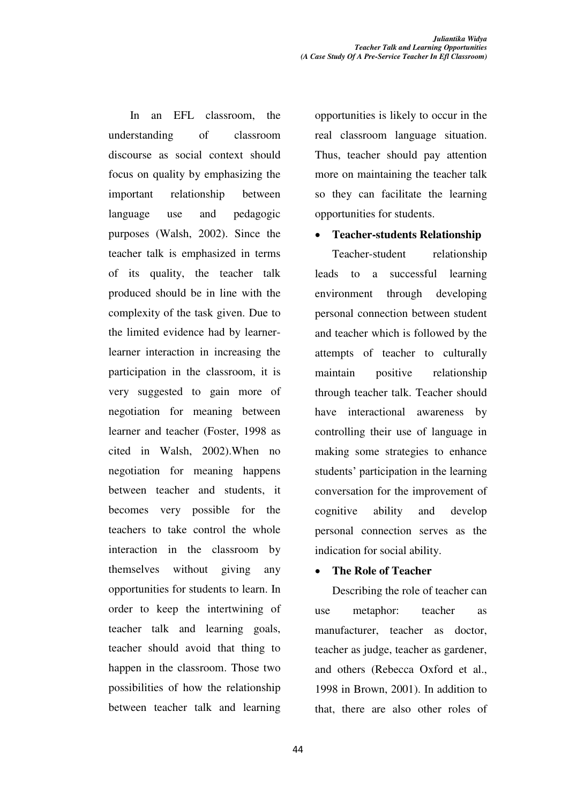In an EFL classroom, the understanding of classroom discourse as social context should focus on quality by emphasizing the important relationship between language use and pedagogic purposes (Walsh, 2002). Since the teacher talk is emphasized in terms of its quality, the teacher talk produced should be in line with the complexity of the task given. Due to the limited evidence had by learnerlearner interaction in increasing the participation in the classroom, it is very suggested to gain more of negotiation for meaning between learner and teacher (Foster, 1998 as cited in Walsh, 2002).When no negotiation for meaning happens between teacher and students, it becomes very possible for the teachers to take control the whole interaction in the classroom by themselves without giving any opportunities for students to learn. In order to keep the intertwining of teacher talk and learning goals, teacher should avoid that thing to happen in the classroom. Those two possibilities of how the relationship between teacher talk and learning opportunities is likely to occur in the real classroom language situation. Thus, teacher should pay attention more on maintaining the teacher talk so they can facilitate the learning opportunities for students.

### x **Teacher-students Relationship**

Teacher-student relationship leads to a successful learning environment through developing personal connection between student and teacher which is followed by the attempts of teacher to culturally maintain positive relationship through teacher talk. Teacher should have interactional awareness by controlling their use of language in making some strategies to enhance students' participation in the learning conversation for the improvement of cognitive ability and develop personal connection serves as the indication for social ability.

# **The Role of Teacher**

Describing the role of teacher can use metaphor: teacher as manufacturer, teacher as doctor, teacher as judge, teacher as gardener, and others (Rebecca Oxford et al., 1998 in Brown, 2001). In addition to that, there are also other roles of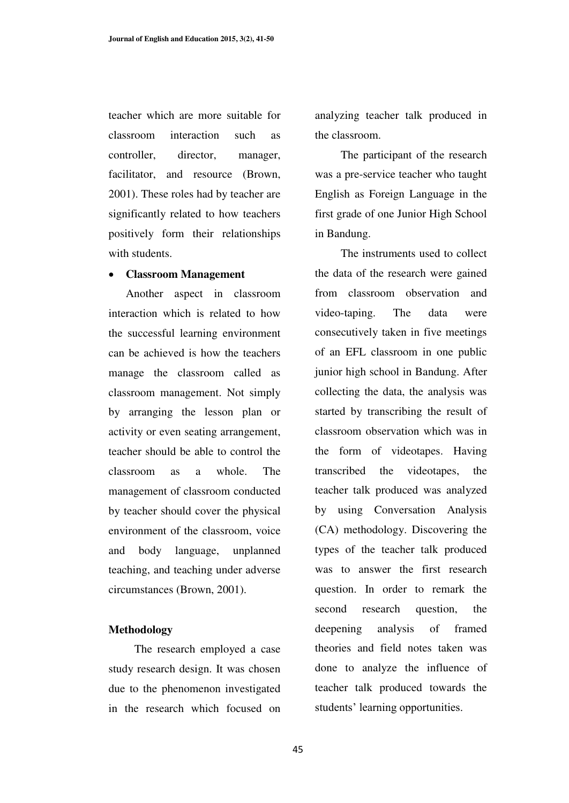teacher which are more suitable for classroom interaction such as controller, director, manager, facilitator, and resource (Brown, 2001). These roles had by teacher are significantly related to how teachers positively form their relationships with students.

### x **Classroom Management**

Another aspect in classroom interaction which is related to how the successful learning environment can be achieved is how the teachers manage the classroom called as classroom management. Not simply by arranging the lesson plan or activity or even seating arrangement, teacher should be able to control the classroom as a whole. The management of classroom conducted by teacher should cover the physical environment of the classroom, voice and body language, unplanned teaching, and teaching under adverse circumstances (Brown, 2001).

#### **Methodology**

The research employed a case study research design. It was chosen due to the phenomenon investigated in the research which focused on

analyzing teacher talk produced in the classroom.

The participant of the research was a pre-service teacher who taught English as Foreign Language in the first grade of one Junior High School in Bandung.

The instruments used to collect the data of the research were gained from classroom observation and video-taping. The data were consecutively taken in five meetings of an EFL classroom in one public junior high school in Bandung. After collecting the data, the analysis was started by transcribing the result of classroom observation which was in the form of videotapes. Having transcribed the videotapes, the teacher talk produced was analyzed by using Conversation Analysis (CA) methodology. Discovering the types of the teacher talk produced was to answer the first research question. In order to remark the second research question, the deepening analysis of framed theories and field notes taken was done to analyze the influence of teacher talk produced towards the students' learning opportunities.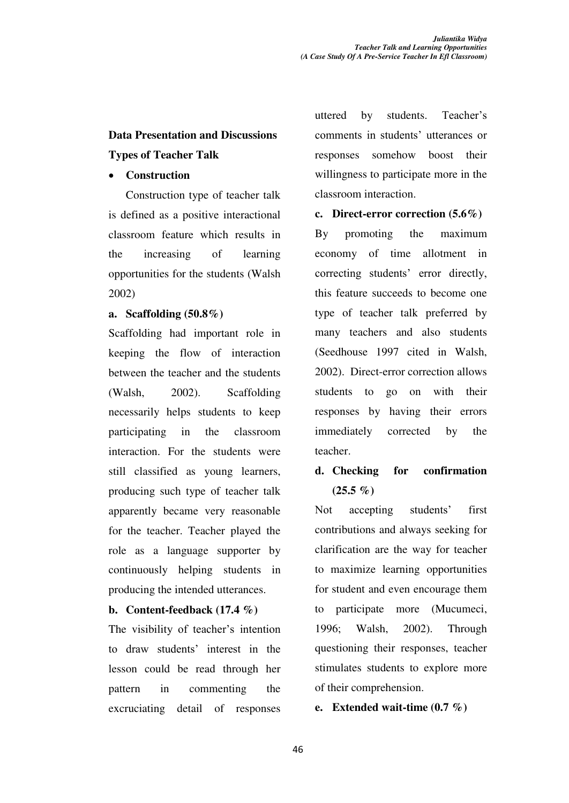# **Data Presentation and Discussions Types of Teacher Talk**

# x **Construction**

Construction type of teacher talk is defined as a positive interactional classroom feature which results in the increasing of learning opportunities for the students (Walsh 2002)

# **a. Scaffolding (50.8%)**

Scaffolding had important role in keeping the flow of interaction between the teacher and the students (Walsh, 2002). Scaffolding necessarily helps students to keep participating in the classroom interaction. For the students were still classified as young learners, producing such type of teacher talk apparently became very reasonable for the teacher. Teacher played the role as a language supporter by continuously helping students in producing the intended utterances.

# **b. Content-feedback (17.4 %)**

The visibility of teacher's intention to draw students' interest in the lesson could be read through her pattern in commenting the excruciating detail of responses uttered by students. Teacher's comments in students' utterances or responses somehow boost their willingness to participate more in the classroom interaction.

# **c. Direct-error correction (5.6%)**

By promoting the maximum economy of time allotment in correcting students' error directly, this feature succeeds to become one type of teacher talk preferred by many teachers and also students (Seedhouse 1997 cited in Walsh, 2002). Direct-error correction allows students to go on with their responses by having their errors immediately corrected by the teacher.

# **d. Checking for confirmation**   $(25.5\% )$

Not accepting students' first contributions and always seeking for clarification are the way for teacher to maximize learning opportunities for student and even encourage them to participate more (Mucumeci, 1996; Walsh, 2002). Through questioning their responses, teacher stimulates students to explore more of their comprehension.

# **e. Extended wait-time (0.7 %)**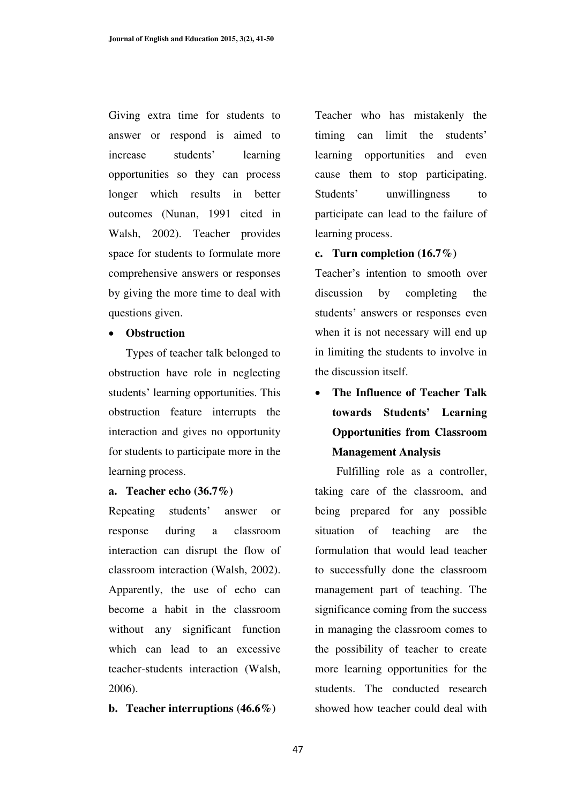Giving extra time for students to answer or respond is aimed to increase students' learning opportunities so they can process longer which results in better outcomes (Nunan, 1991 cited in Walsh, 2002). Teacher provides space for students to formulate more comprehensive answers or responses by giving the more time to deal with questions given.

# **•** Obstruction

Types of teacher talk belonged to obstruction have role in neglecting students' learning opportunities. This obstruction feature interrupts the interaction and gives no opportunity for students to participate more in the learning process.

#### **a. Teacher echo (36.7%)**

Repeating students' answer or response during a classroom interaction can disrupt the flow of classroom interaction (Walsh, 2002). Apparently, the use of echo can become a habit in the classroom without any significant function which can lead to an excessive teacher-students interaction (Walsh, 2006).

#### **b. Teacher interruptions (46.6%)**

Teacher who has mistakenly the timing can limit the students' learning opportunities and even cause them to stop participating. Students' unwillingness to participate can lead to the failure of learning process.

# **c. Turn completion (16.7%)**

Teacher's intention to smooth over discussion by completing the students' answers or responses even when it is not necessary will end up in limiting the students to involve in the discussion itself.

x **The Influence of Teacher Talk towards Students' Learning Opportunities from Classroom Management Analysis** 

 Fulfilling role as a controller, taking care of the classroom, and being prepared for any possible situation of teaching are the formulation that would lead teacher to successfully done the classroom management part of teaching. The significance coming from the success in managing the classroom comes to the possibility of teacher to create more learning opportunities for the students. The conducted research showed how teacher could deal with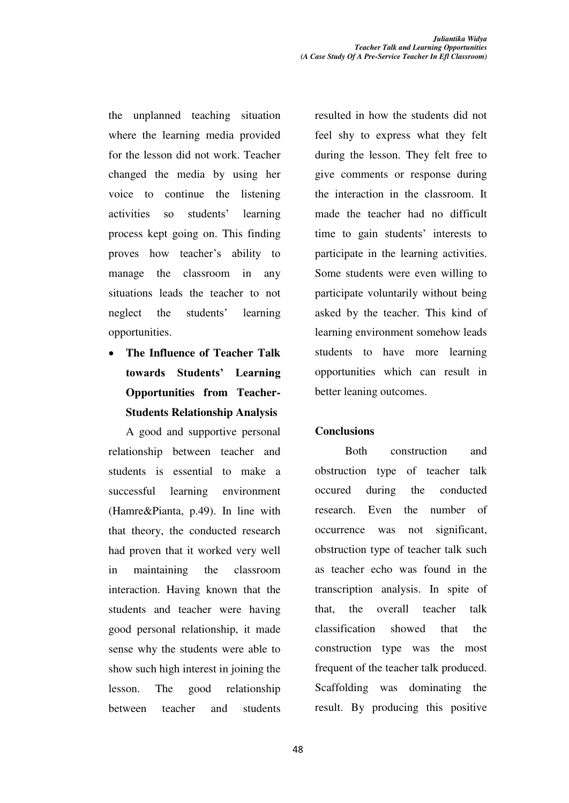the unplanned teaching situation where the learning media provided for the lesson did not work. Teacher changed the media by using her voice to continue the listening activities so students' learning process kept going on. This finding proves how teacher's ability to manage the classroom in any situations leads the teacher to not neglect the students' learning opportunities.

x **The Influence of Teacher Talk**  towards Students' Learning **Opportunities from Teacher-Students Relationship Analysis** 

A good and supportive personal relationship between teacher and students is essential to make a successful learning environment (Hamre&Pianta, p.49). In line with that theory, the conducted research had proven that it worked very well in maintaining the classroom interaction. Having known that the students and teacher were having good personal relationship, it made sense why the students were able to show such high interest in joining the lesson. The good relationship between teacher and students

resulted in how the students did not feel shy to express what they felt during the lesson. They felt free to give comments or response during the interaction in the classroom. It made the teacher had no difficult time to gain students' interests to participate in the learning activities. Some students were even willing to participate voluntarily without being asked by the teacher. This kind of learning environment somehow leads students to have more learning opportunities which can result in better leaning outcomes.

# **Conclusions**

 Both construction and obstruction type of teacher talk occured during the conducted research. Even the number of occurrence was not significant, obstruction type of teacher talk such as teacher echo was found in the transcription analysis. In spite of that, the overall teacher talk classification showed that the construction type was the most frequent of the teacher talk produced. Scaffolding was dominating the result. By producing this positive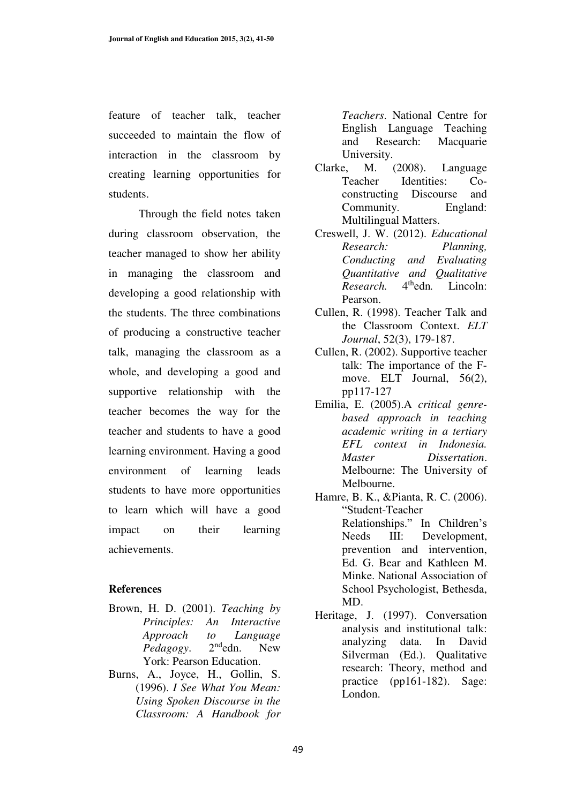feature of teacher talk, teacher succeeded to maintain the flow of interaction in the classroom by creating learning opportunities for students.

 Through the field notes taken during classroom observation, the teacher managed to show her ability in managing the classroom and developing a good relationship with the students. The three combinations of producing a constructive teacher talk, managing the classroom as a whole, and developing a good and supportive relationship with the teacher becomes the way for the teacher and students to have a good learning environment. Having a good environment of learning leads students to have more opportunities to learn which will have a good impact on their learning achievements.

# **References**

- Brown, H. D. (2001). *Teaching by Principles: An Interactive Approach to Language Pedagogy*. 2<sup>nd</sup>edn. New York: Pearson Education.
- Burns, A., Joyce, H., Gollin, S. (1996). *I See What You Mean: Using Spoken Discourse in the Classroom: A Handbook for*

*Teachers*. National Centre for English Language Teaching and Research: Macquarie University.

- Clarke, M. (2008). Language Teacher Identities: Coconstructing Discourse and Community. England: Multilingual Matters.
- Creswell, J. W. (2012). *Educational Research: Planning, Conducting and Evaluating Quantitative and Qualitative Research.* 4<sup>th</sup>edn. Lincoln: Pearson.
- Cullen, R. (1998). Teacher Talk and the Classroom Context. *ELT Journal*, 52(3), 179-187.
- Cullen, R. (2002). Supportive teacher talk: The importance of the Fmove. ELT Journal, 56(2), pp117-127
- Emilia, E. (2005).A *critical genrebased approach in teaching academic writing in a tertiary EFL context in Indonesia. Master Dissertation*. Melbourne: The University of Melbourne.
- Hamre, B. K., &Pianta, R. C. (2006). "Student-Teacher Relationships." In Children's Needs III: Development, prevention and intervention, Ed. G. Bear and Kathleen M. Minke. National Association of School Psychologist, Bethesda, MD.
- Heritage, J. (1997). Conversation analysis and institutional talk: analyzing data. In David Silverman (Ed.). Qualitative research: Theory, method and practice (pp161-182). Sage: London.